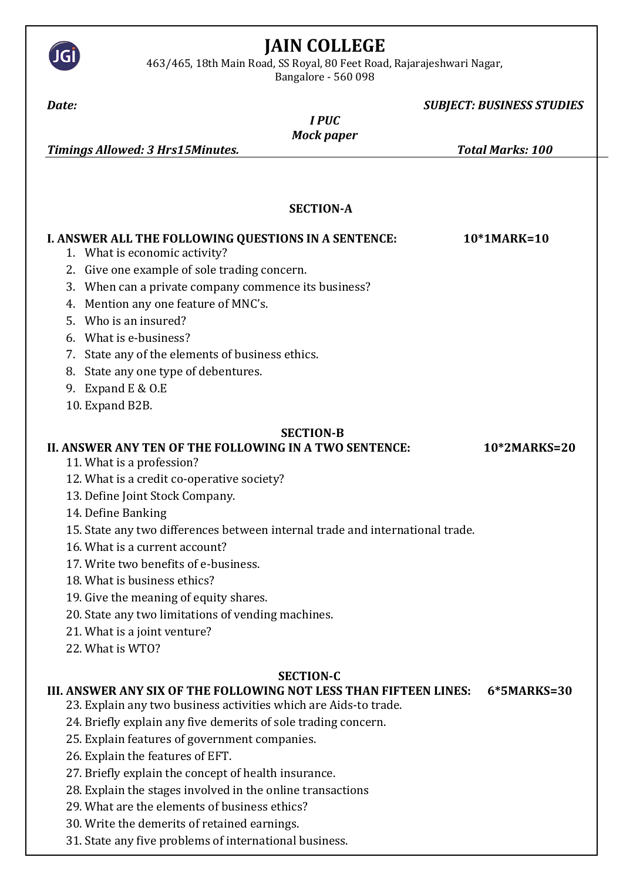

# **JAIN COLLEGE**

463/465, 18th Main Road, SS Royal, 80 Feet Road, Rajarajeshwari Nagar, Bangalore - 560 098

## *Date: SUBJECT: BUSINESS STUDIES*

*I PUC Mock paper* 

*Timings Allowed: 3 Hrs15Minutes. Total Marks: 100*

 **SECTION-A**

| I. ANSWER ALL THE FOLLOWING QUESTIONS IN A SENTENCE: |                                                                               | 10*1MARK=10  |
|------------------------------------------------------|-------------------------------------------------------------------------------|--------------|
|                                                      | 1. What is economic activity?                                                 |              |
|                                                      | 2. Give one example of sole trading concern.                                  |              |
| 3.                                                   | When can a private company commence its business?                             |              |
| 4.                                                   | Mention any one feature of MNC's.                                             |              |
|                                                      | 5. Who is an insured?                                                         |              |
|                                                      | 6. What is e-business?                                                        |              |
|                                                      | 7. State any of the elements of business ethics.                              |              |
|                                                      | 8. State any one type of debentures.                                          |              |
| 9.                                                   | Expand E & O.E                                                                |              |
|                                                      | 10. Expand B2B.                                                               |              |
| <b>SECTION-B</b>                                     |                                                                               |              |
|                                                      | II. ANSWER ANY TEN OF THE FOLLOWING IN A TWO SENTENCE:                        | 10*2MARKS=20 |
|                                                      | 11. What is a profession?                                                     |              |
|                                                      | 12. What is a credit co-operative society?                                    |              |
|                                                      | 13. Define Joint Stock Company.                                               |              |
|                                                      | 14. Define Banking                                                            |              |
|                                                      | 15. State any two differences between internal trade and international trade. |              |
|                                                      | 16. What is a current account?                                                |              |
|                                                      | 17. Write two benefits of e-business.                                         |              |
|                                                      | 18. What is business ethics?                                                  |              |
|                                                      | 19. Give the meaning of equity shares.                                        |              |
|                                                      | 20. State any two limitations of vending machines.                            |              |
|                                                      | 21. What is a joint venture?                                                  |              |
|                                                      | 22. What is WTO?                                                              |              |
| <b>SECTION-C</b>                                     |                                                                               |              |
|                                                      | III. ANSWER ANY SIX OF THE FOLLOWING NOT LESS THAN FIFTEEN LINES:             | 6*5MARKS=30  |
|                                                      | 23. Explain any two business activities which are Aids-to trade.              |              |
|                                                      | 24. Briefly explain any five demerits of sole trading concern.                |              |
|                                                      | 25. Explain features of government companies.                                 |              |
|                                                      | 26. Explain the features of EFT.                                              |              |
|                                                      | 27. Briefly explain the concept of health insurance.                          |              |
|                                                      | 28. Explain the stages involved in the online transactions                    |              |
|                                                      | 29. What are the elements of business ethics?                                 |              |
|                                                      | 30. Write the demerits of retained earnings.                                  |              |
|                                                      | 31. State any five problems of international business.                        |              |